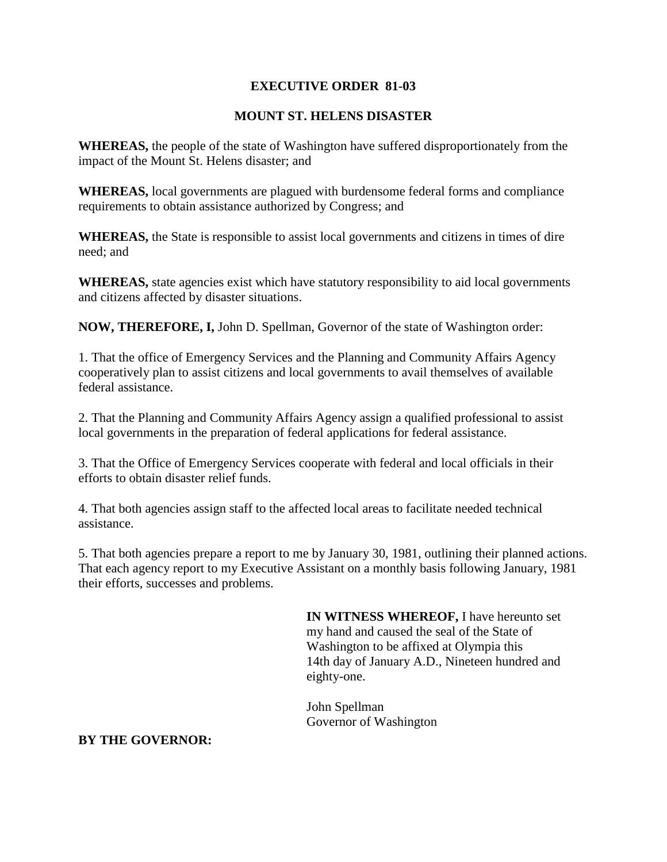## **EXECUTIVE ORDER 81-03**

## **MOUNT ST. HELENS DISASTER**

**WHEREAS,** the people of the state of Washington have suffered disproportionately from the impact of the Mount St. Helens disaster; and

**WHEREAS,** local governments are plagued with burdensome federal forms and compliance requirements to obtain assistance authorized by Congress; and

**WHEREAS,** the State is responsible to assist local governments and citizens in times of dire need; and

**WHEREAS,** state agencies exist which have statutory responsibility to aid local governments and citizens affected by disaster situations.

**NOW, THEREFORE, I,** John D. Spellman, Governor of the state of Washington order:

1. That the office of Emergency Services and the Planning and Community Affairs Agency cooperatively plan to assist citizens and local governments to avail themselves of available federal assistance.

2. That the Planning and Community Affairs Agency assign a qualified professional to assist local governments in the preparation of federal applications for federal assistance.

3. That the Office of Emergency Services cooperate with federal and local officials in their efforts to obtain disaster relief funds.

4. That both agencies assign staff to the affected local areas to facilitate needed technical assistance.

5. That both agencies prepare a report to me by January 30, 1981, outlining their planned actions. That each agency report to my Executive Assistant on a monthly basis following January, 1981 their efforts, successes and problems.

> **IN WITNESS WHEREOF,** I have hereunto set my hand and caused the seal of the State of Washington to be affixed at Olympia this 14th day of January A.D., Nineteen hundred and eighty-one.

John Spellman Governor of Washington

## **BY THE GOVERNOR:**